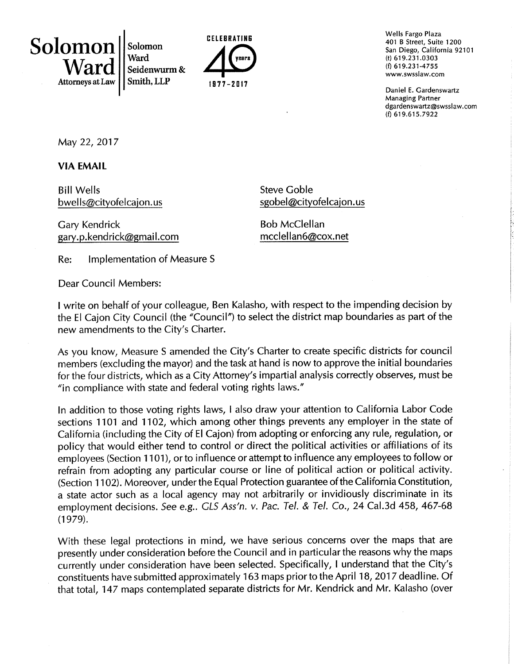Solomon Ward Attorneys at Law

Solomon Ward Seidenwurm& Smith,LLP



Wells Fargo Plaza 401 B Street, Suite 1200 San Diego, California 92101 (t) 619.231.0303 (f) 619.231-47s5 www.swsslaw.com

Daniel E. Cardenswartz Managing Partner dgardenswartz@swsslaw.com (f) 619.615.7922

l.:

i'.

May 22, 2017

VIA EMAIL

Bill Wells bwells@cityofelcajon.us

Cary Kendrick gary.p.kendrick@gmail.com Steve Coble sgobel@cityofelcajon.us

Bob McClellan mcclellan6@cox.net

Re: lmplementation of Measure <sup>S</sup>

Dear Council Members:

I write on behalf of your colleague, Ben Kalasho, with respect to the impending decision by the El Cajon City Council (the "Council") to select the district map boundaries as part of the new amendments to the City's Charter.

As you know, Measure S amended the City's Charter to create specific districts for council members (excluding the mayor) and the task at hand is now to approve the initial boundaries for the four districts, which as a City Attorney's impartial analysis correctly observes, must be "in compliance with state and federal voting rights laws."

ln addition to those voting rights laws, I also draw your attention to California Labor Code sections 1101 and 1102, which among other things prevents any employer in the state of California (including the City of El Cajon) from adopting or enforcing any rule, regulation, or policy that would either tend to control or direct the political activities or affiliations of its employees (Section 1 101), or to influence or attempt to influence any employees to follow or refrain from adopting any particular course or line of political action or politícal activity. (Section 1102). Moreover, under the Equal Protection guarantee of the California Constitution, a state actor such as a local agency may not arbítrarily or invidiously discriminate in its employment decisions. See e.g.. GLS Ass'n. v. Pac. Tel. & Tel. Co., 24 Cal.3d 458, 467-68  $(1979).$ 

With these legal protections in mind, we have serious concerns over the maps that are presently under consideration before the Council and in particular the reasons why the maps currently under consideration have been selected. Specifically, I understand that the City's constituents have submitted approximately 163 maps prior to the April 18, 2017 deadline. Of that total, 147 maps contemplated separate districts for Mr. Kendrick and Mr. Kalasho (over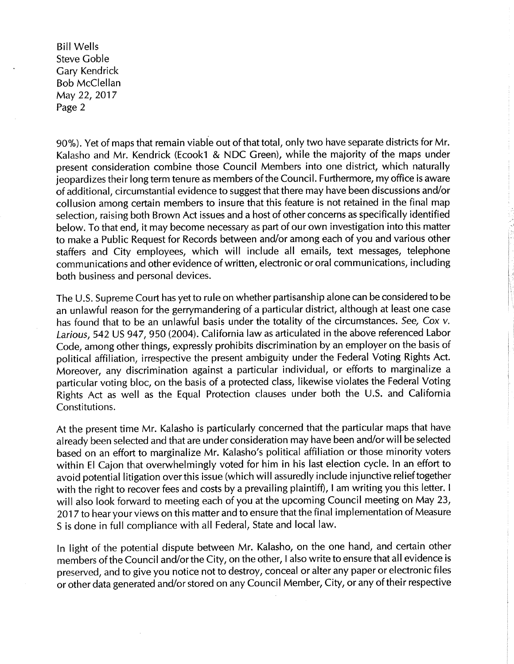BillWells Steve Coble Cary Kendrick Bob McClellan May 22, 2017 Page 2

90%). Yet of maps that remain viable out of that total, only two have separate districts for Mr. Kalasho and Mr. Kendrick (Ecook1 & NDC Green), while the majority of the maps under present consideration combine those Council Members into one district, which naturally jeopardizes their long term tenure as members of the Council. Furthermore, my office is aware of additional, circumstantial evidence to suggest that there may have been discussions and/or collusion among ceftain members to insure that this feature is not retained in the final map selection, raising both Brown Act issues and a host of other concerns as specifically identified below. To that end, it may become necessary as part of our own investigation into this matter to make a Public Request for Records between and/or among each of you and various other staffers and City employees, which will include all emails, text messages, telephone communications and other evidence of written, electronic or oral communications, including both business and personal devices.

The U.S. Supreme Court has yet to rule on whether partisanshíp alone can be considered to be an unlawful reason for the gerrymandering of a particular district, although at least one case has found that to be an unlawful basis under the totality of the circumstances. See, Cox v. Larious, 542 US 947, 950 (2004). California law as articulated in the above referenced Labor Code, among other things, expressly prohibits discrimination by an employer on the basis of political affiliation, irrespective the present ambiguity under the Federal Voting Rights Act. Moreover, any discrimination against a particular individual, or efforts to marginalize <sup>a</sup> particular voting bloc, on the basis of a protected class, likewise violates the Federal Voting Rights Act as well as the Equal Protection clauses under both the U.S. and California Constitutions.

At the present time Mr. Kalasho is particularly concerned that the particular maps that have already been selected and that are under consideration may have been and/or will be selected based on an effort to marginalize Mr. Kalasho's political affiliation or those minority voters within El Cajon that overwhelmingly voted for him in his last election cycle. ln an effort to avoid potential litigation over this issue (which will assuredly include injunctive relief together with the right to recover fees and costs by a prevailing plaintiff), I am writing you this letter. I will also look forward to meeting each of you at the upcoming Council meeting on May 23, 2017 to hear your views on this matter and to ensure that the final implementation of Measure S is done in full compliance with all Federal, State and local law.

In light of the potential dispute between Mr. Kalasho, on the one hand, and certain other members of the Council and/or the City, on the other, I also write to ensure that all evidence is preserved, and to give you notice not to destroy, conceal or alter any paper or electronic files or other data generated and/or stored on any Council Member, City, or any of their respective